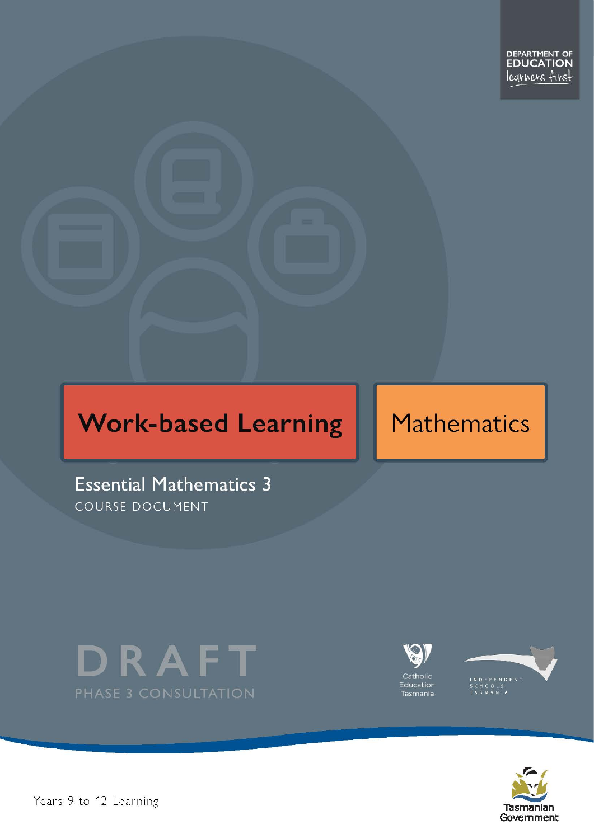# **Work-based Learning**

# **Mathematics**

**Essential Mathematics 3** COURSE DOCUMENT









Pears 9 to 12 Learning – Essential Mathematics Level 3 Page 1 of 30 Page 1 of 30 Page 1 of 30 Page 1 of 30 Page 1 of 30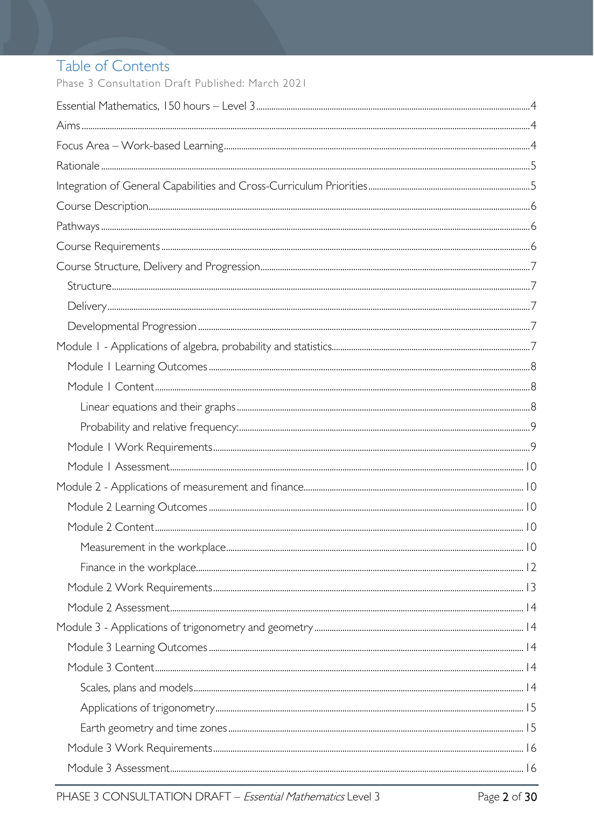# Table of Contents

Phase 3 Consultation Draft Published: March 2021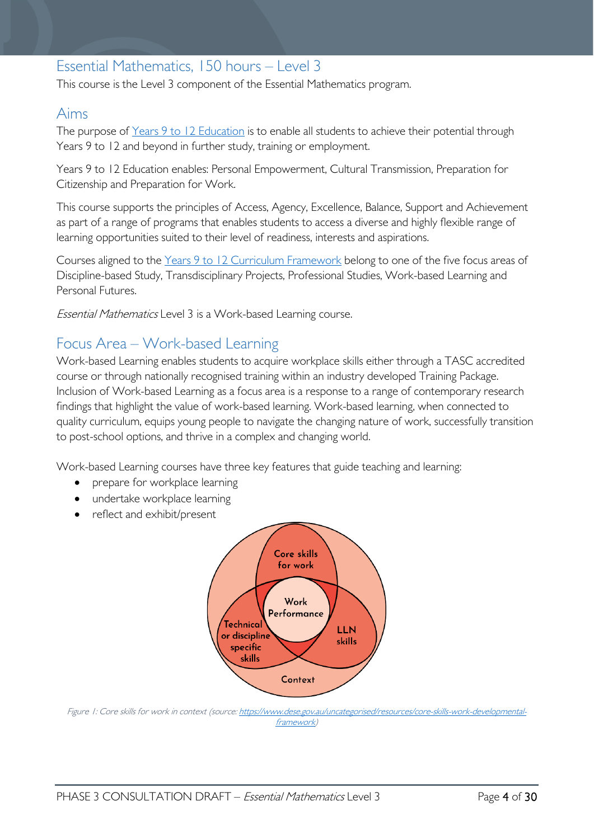# <span id="page-3-0"></span>Essential Mathematics, 150 hours – Level 3

This course is the Level 3 component of the Essential Mathematics program.

### <span id="page-3-1"></span>Aims

The purpose of Years 9 to 12 [Education](https://publicdocumentcentre.education.tas.gov.au/library/Shared%20Documents/Years-9-to-12-Education-Framework.pdf) is to enable all students to achieve their potential through Years 9 to 12 and beyond in further study, training or employment.

Years 9 to 12 Education enables: Personal Empowerment, Cultural Transmission, Preparation for Citizenship and Preparation for Work.

This course supports the principles of Access, Agency, Excellence, Balance, Support and Achievement as part of a range of programs that enables students to access a diverse and highly flexible range of learning opportunities suited to their level of readiness, interests and aspirations.

Courses aligned to the Years 9 to 12 Curriculum [Framework](https://publicdocumentcentre.education.tas.gov.au/library/Shared%20Documents/Education%209-12%20Frameworks%20A3%20WEB%20POSTER.pdf) belong to one of the five focus areas of Discipline-based Study, Transdisciplinary Projects, Professional Studies, Work-based Learning and Personal Futures.

Essential Mathematics Level 3 is a Work-based Learning course.

# <span id="page-3-2"></span>Focus Area – Work-based Learning

Work-based Learning enables students to acquire workplace skills either through a TASC accredited course or through nationally recognised training within an industry developed Training Package. Inclusion of Work-based Learning as a focus area is a response to a range of contemporary research findings that highlight the value of work-based learning. Work-based learning, when connected to quality curriculum, equips young people to navigate the changing nature of work, successfully transition to post-school options, and thrive in a complex and changing world.

Work-based Learning courses have three key features that guide teaching and learning:

- prepare for workplace learning
- undertake workplace learning
- reflect and exhibit/present



Figure 1: Core skills for work in context (source[: https://www.dese.gov.au/uncategorised/resources/core-skills-work-developmental](https://www.dese.gov.au/uncategorised/resources/core-skills-work-developmental-framework)[framework\)](https://www.dese.gov.au/uncategorised/resources/core-skills-work-developmental-framework)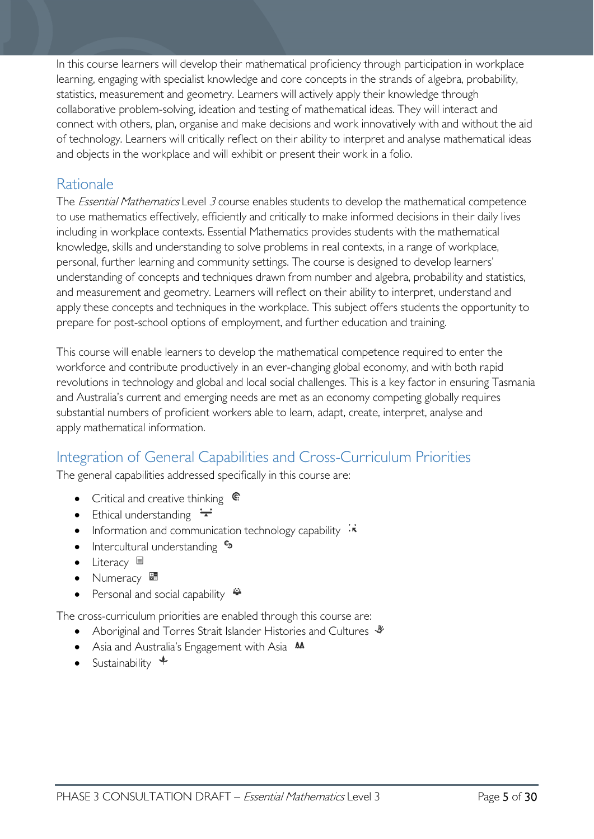In this course learners will develop their mathematical proficiency through participation in workplace learning, engaging with specialist knowledge and core concepts in the strands of algebra, probability, statistics, measurement and geometry. Learners will actively apply their knowledge through collaborative problem-solving, ideation and testing of mathematical ideas. They will interact and connect with others, plan, organise and make decisions and work innovatively with and without the aid of technology. Learners will critically reflect on their ability to interpret and analyse mathematical ideas and objects in the workplace and will exhibit or present their work in a folio.

# <span id="page-4-0"></span>**Rationale**

The *Essential Mathematics* Level 3 course enables students to develop the mathematical competence to use mathematics effectively, efficiently and critically to make informed decisions in their daily lives including in workplace contexts. Essential Mathematics provides students with the mathematical knowledge, skills and understanding to solve problems in real contexts, in a range of workplace, personal, further learning and community settings. The course is designed to develop learners' understanding of concepts and techniques drawn from number and algebra, probability and statistics, and measurement and geometry. Learners will reflect on their ability to interpret, understand and apply these concepts and techniques in the workplace. This subject offers students the opportunity to prepare for post-school options of employment, and further education and training.

This course will enable learners to develop the mathematical competence required to enter the workforce and contribute productively in an ever-changing global economy, and with both rapid revolutions in technology and global and local social challenges. This is a key factor in ensuring Tasmania and Australia's current and emerging needs are met as an economy competing globally requires substantial numbers of proficient workers able to learn, adapt, create, interpret, analyse and apply mathematical information.

# <span id="page-4-1"></span>Integration of General Capabilities and Cross-Curriculum Priorities

The general capabilities addressed specifically in this course are:

- Critical and creative thinking  $\mathbb{C}$
- Ethical understanding  $\div$
- Information and communication technology capability  $\ddot{\cdot}$
- Intercultural understanding •
- Literacy
- Numeracy
- Personal and social capability

The cross-curriculum priorities are enabled through this course are:

- Aboriginal and Torres Strait Islander Histories and Cultures  $\mathscr W$
- Asia and Australia's Engagement with Asia **AA**
- Sustainability  $\triangleleft$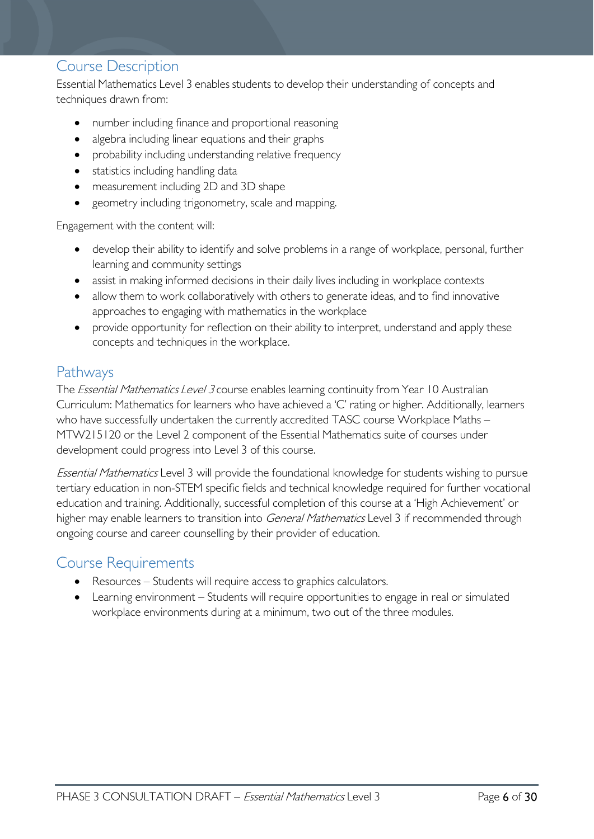### <span id="page-5-0"></span>Course Description

Essential Mathematics Level 3 enables students to develop their understanding of concepts and techniques drawn from:

- number including finance and proportional reasoning
- algebra including linear equations and their graphs
- probability including understanding relative frequency
- statistics including handling data
- measurement including 2D and 3D shape
- geometry including trigonometry, scale and mapping.

Engagement with the content will:

- develop their ability to identify and solve problems in a range of workplace, personal, further learning and community settings
- assist in making informed decisions in their daily lives including in workplace contexts
- allow them to work collaboratively with others to generate ideas, and to find innovative approaches to engaging with mathematics in the workplace
- provide opportunity for reflection on their ability to interpret, understand and apply these concepts and techniques in the workplace.

### <span id="page-5-1"></span>Pathways

The *Essential Mathematics Level 3* course enables learning continuity from Year 10 Australian Curriculum: Mathematics for learners who have achieved a 'C' rating or higher. Additionally, learners who have successfully undertaken the currently accredited TASC course Workplace Maths -MTW215120 or the Level 2 component of the Essential Mathematics suite of courses under development could progress into Level 3 of this course.

Essential Mathematics Level 3 will provide the foundational knowledge for students wishing to pursue tertiary education in non-STEM specific fields and technical knowledge required for further vocational education and training. Additionally, successful completion of this course at a 'High Achievement' or higher may enable learners to transition into *General Mathematics* Level 3 if recommended through ongoing course and career counselling by their provider of education.

### <span id="page-5-2"></span>Course Requirements

- Resources Students will require access to graphics calculators.
- Learning environment Students will require opportunities to engage in real or simulated workplace environments during at a minimum, two out of the three modules.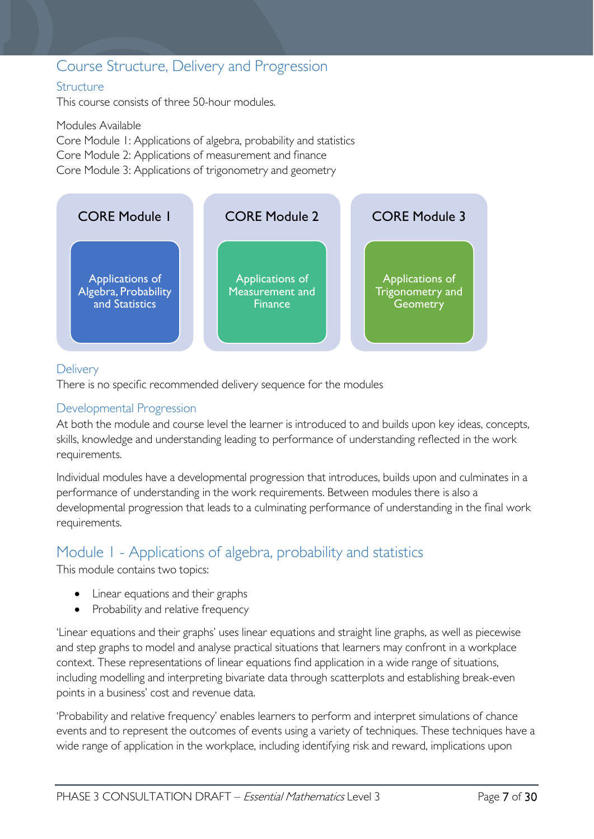# <span id="page-6-0"></span>Course Structure, Delivery and Progression

#### <span id="page-6-1"></span>**Structure**

This course consists of three 50-hour modules.

Modules Available Core Module 1: Applications of algebra, probability and statistics Core Module 2: Applications of measurement and finance Core Module 3: Applications of trigonometry and geometry



#### <span id="page-6-2"></span>**Delivery**

There is no specific recommended delivery sequence for the modules

#### <span id="page-6-3"></span>Developmental Progression

At both the module and course level the learner is introduced to and builds upon key ideas, concepts, skills, knowledge and understanding leading to performance of understanding reflected in the work requirements.

Individual modules have a developmental progression that introduces, builds upon and culminates in a performance of understanding in the work requirements. Between modules there is also a developmental progression that leads to a culminating performance of understanding in the final work requirements.

# <span id="page-6-4"></span>Module 1 - Applications of algebra, probability and statistics

This module contains two topics:

- Linear equations and their graphs
- Probability and relative frequency

'Linear equations and their graphs' uses linear equations and straight line graphs, as well as piecewise and step graphs to model and analyse practical situations that learners may confront in a workplace context. These representations of linear equations find application in a wide range of situations, including modelling and interpreting bivariate data through scatterplots and establishing break-even points in a business' cost and revenue data.

'Probability and relative frequency' enables learners to perform and interpret simulations of chance events and to represent the outcomes of events using a variety of techniques. These techniques have a wide range of application in the workplace, including identifying risk and reward, implications upon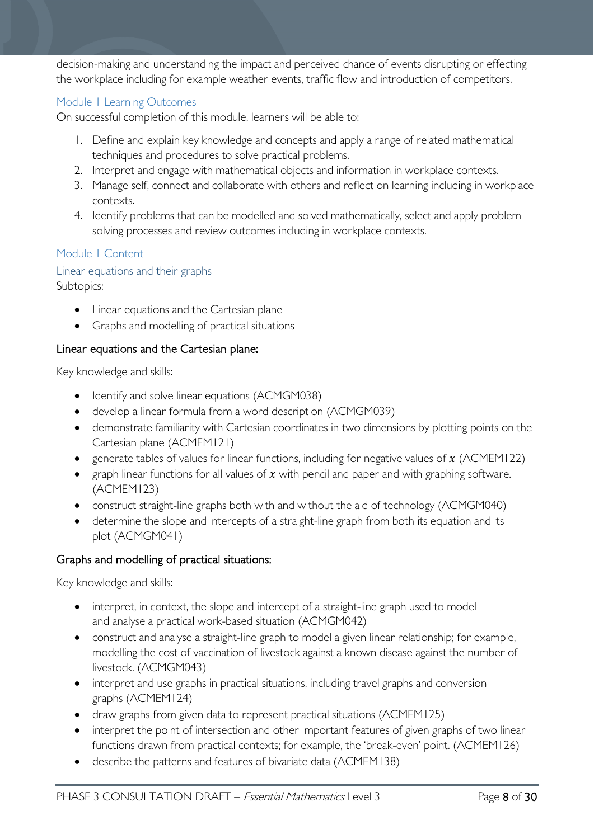decision-making and understanding the impact and perceived chance of events disrupting or effecting the workplace including for example weather events, traffic flow and introduction of competitors.

#### <span id="page-7-0"></span>Module 1 Learning Outcomes

On successful completion of this module, learners will be able to:

- 1. Define and explain key knowledge and concepts and apply a range of related mathematical techniques and procedures to solve practical problems.
- 2. Interpret and engage with mathematical objects and information in workplace contexts.
- 3. Manage self, connect and collaborate with others and reflect on learning including in workplace contexts.
- 4. Identify problems that can be modelled and solved mathematically, select and apply problem solving processes and review outcomes including in workplace contexts.

#### <span id="page-7-1"></span>Module 1 Content

#### <span id="page-7-2"></span>Linear equations and their graphs Subtopics:

- Linear equations and the Cartesian plane
- Graphs and modelling of practical situations

#### Linear equations and the Cartesian plane:

Key knowledge and skills:

- Identify and solve linear equations (ACMGM038)
- develop a linear formula from a word description (ACMGM039)
- demonstrate familiarity with Cartesian coordinates in two dimensions by plotting points on the Cartesian plane (ACMEM121)
- generate tables of values for linear functions, including for negative values of  $x$  (ACMEM122)
- graph linear functions for all values of  $x$  with pencil and paper and with graphing software. (ACMEM123)
- construct straight-line graphs both with and without the aid of technology (ACMGM040)
- determine the slope and intercepts of a straight-line graph from both its equation and its plot (ACMGM041)

#### Graphs and modelling of practical situations:

Key knowledge and skills:

- interpret, in context, the slope and intercept of a straight-line graph used to model and analyse a practical work-based situation (ACMGM042)
- construct and analyse a straight-line graph to model a given linear relationship; for example, modelling the cost of vaccination of livestock against a known disease against the number of livestock. (ACMGM043)
- interpret and use graphs in practical situations, including travel graphs and conversion graphs (ACMEM124)
- draw graphs from given data to represent practical situations (ACMEM125)
- interpret the point of intersection and other important features of given graphs of two linear functions drawn from practical contexts; for example, the 'break-even' point. (ACMEM126)
- describe the patterns and features of bivariate data (ACMEM138)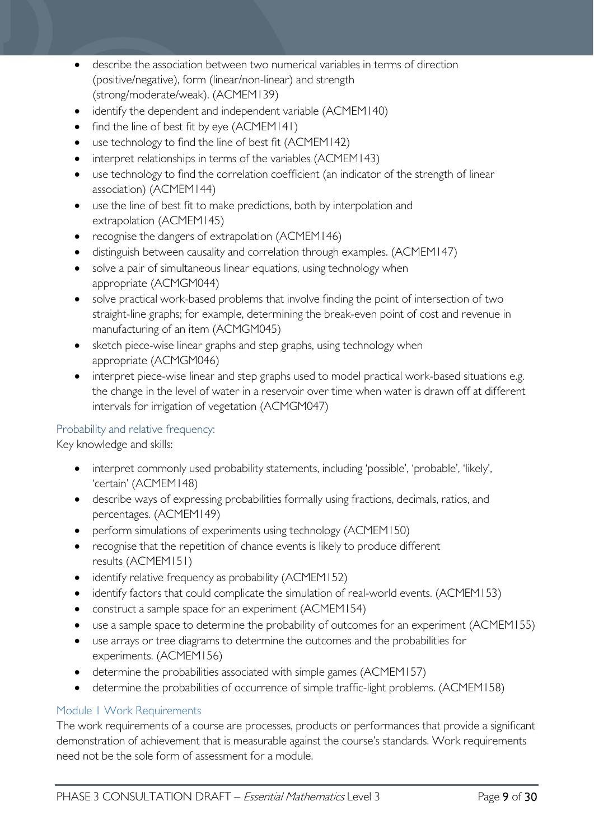- describe the association between two numerical variables in terms of direction (positive/negative), form (linear/non-linear) and strength (strong/moderate/weak). (ACMEM139)
- identify the dependent and independent variable (ACMEM140)
- find the line of best fit by eye (ACMEM141)
- use technology to find the line of best fit (ACMEM142)
- interpret relationships in terms of the variables (ACMEM143)
- use technology to find the correlation coefficient (an indicator of the strength of linear association) (ACMEM144)
- use the line of best fit to make predictions, both by interpolation and extrapolation (ACMEM145)
- recognise the dangers of extrapolation (ACMEM146)
- distinguish between causality and correlation through examples. (ACMEM147)
- solve a pair of simultaneous linear equations, using technology when appropriate (ACMGM044)
- solve practical work-based problems that involve finding the point of intersection of two straight-line graphs; for example, determining the break-even point of cost and revenue in manufacturing of an item (ACMGM045)
- sketch piece-wise linear graphs and step graphs, using technology when appropriate (ACMGM046)
- interpret piece-wise linear and step graphs used to model practical work-based situations e.g. the change in the level of water in a reservoir over time when water is drawn off at different intervals for irrigation of vegetation (ACMGM047)

#### <span id="page-8-0"></span>Probability and relative frequency:

Key knowledge and skills:

- interpret commonly used probability statements, including 'possible', 'probable', 'likely', 'certain' (ACMEM148)
- describe ways of expressing probabilities formally using fractions, decimals, ratios, and percentages. (ACMEM149)
- perform simulations of experiments using technology (ACMEM150)
- recognise that the repetition of chance events is likely to produce different results (ACMEM151)
- identify relative frequency as probability (ACMEM152)
- identify factors that could complicate the simulation of real-world events. (ACMEM153)
- construct a sample space for an experiment (ACMEM154)
- use a sample space to determine the probability of outcomes for an experiment (ACMEM155)
- use arrays or tree diagrams to determine the outcomes and the probabilities for experiments. (ACMEM156)
- determine the probabilities associated with simple games (ACMEM157)
- determine the probabilities of occurrence of simple traffic-light problems. (ACMEM158)

#### <span id="page-8-1"></span>Module 1 Work Requirements

The work requirements of a course are processes, products or performances that provide a significant demonstration of achievement that is measurable against the course's standards. Work requirements need not be the sole form of assessment for a module.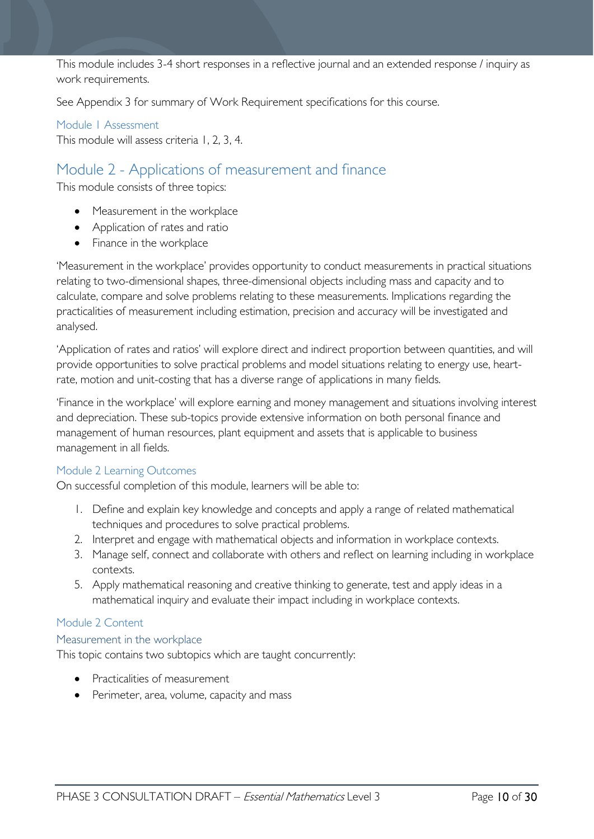This module includes 3-4 short responses in a reflective journal and an extended response / inquiry as work requirements.

See Appendix 3 for summary of Work Requirement specifications for this course.

<span id="page-9-0"></span>Module 1 Assessment This module will assess criteria 1, 2, 3, 4.

# <span id="page-9-1"></span>Module 2 - Applications of measurement and finance

This module consists of three topics:

- Measurement in the workplace
- Application of rates and ratio
- Finance in the workplace

'Measurement in the workplace' provides opportunity to conduct measurements in practical situations relating to two-dimensional shapes, three-dimensional objects including mass and capacity and to calculate, compare and solve problems relating to these measurements. Implications regarding the practicalities of measurement including estimation, precision and accuracy will be investigated and analysed.

'Application of rates and ratios' will explore direct and indirect proportion between quantities, and will provide opportunities to solve practical problems and model situations relating to energy use, heartrate, motion and unit-costing that has a diverse range of applications in many fields.

'Finance in the workplace' will explore earning and money management and situations involving interest and depreciation. These sub-topics provide extensive information on both personal finance and management of human resources, plant equipment and assets that is applicable to business management in all fields.

#### <span id="page-9-2"></span>Module 2 Learning Outcomes

On successful completion of this module, learners will be able to:

- 1. Define and explain key knowledge and concepts and apply a range of related mathematical techniques and procedures to solve practical problems.
- 2. Interpret and engage with mathematical objects and information in workplace contexts.
- 3. Manage self, connect and collaborate with others and reflect on learning including in workplace contexts.
- 5. Apply mathematical reasoning and creative thinking to generate, test and apply ideas in a mathematical inquiry and evaluate their impact including in workplace contexts.

#### <span id="page-9-3"></span>Module 2 Content

#### <span id="page-9-4"></span>Measurement in the workplace

This topic contains two subtopics which are taught concurrently:

- Practicalities of measurement
- Perimeter, area, volume, capacity and mass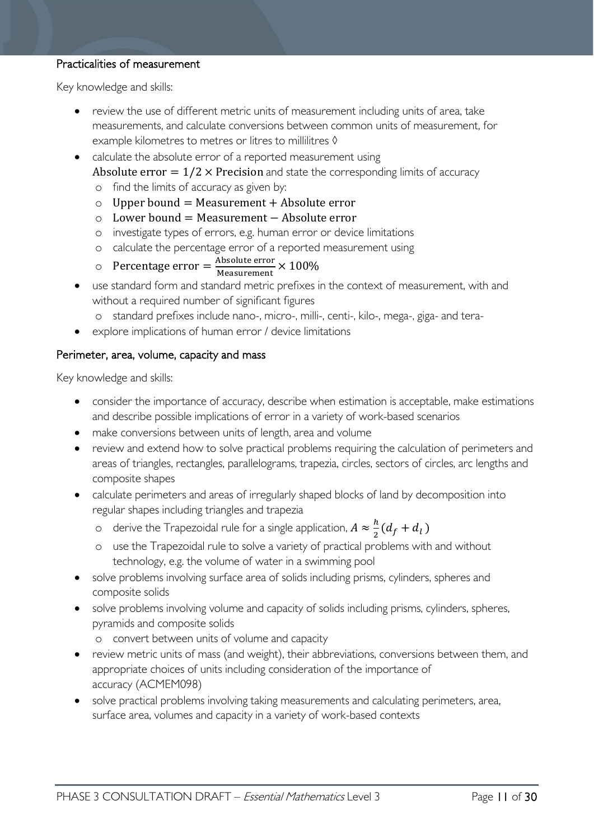#### Practicalities of measurement

Key knowledge and skills:

- review the use of different metric units of measurement including units of area, take measurements, and calculate conversions between common units of measurement, for example kilometres to metres or litres to millilitres  $\Diamond$
- calculate the absolute error of a reported measurement using
	- Absolute error  $= 1/2 \times$  Precision and state the corresponding limits of accuracy
	- o find the limits of accuracy as given by:
	- $\circ$  Upper bound = Measurement + Absolute error
	- o Lower bound = Measurement − Absolute error
	- o investigate types of errors, e.g. human error or device limitations
	- o calculate the percentage error of a reported measurement using
	- $\circ$  Percentage error =  $\frac{\text{Absolute error}}{\text{Measurement}} \times 100\%$
- use standard form and standard metric prefixes in the context of measurement, with and without a required number of significant figures
	- o standard prefixes include nano-, micro-, milli-, centi-, kilo-, mega-, giga- and tera-
- explore implications of human error / device limitations

#### Perimeter, area, volume, capacity and mass

Key knowledge and skills:

- consider the importance of accuracy, describe when estimation is acceptable, make estimations and describe possible implications of error in a variety of work-based scenarios
- make conversions between units of length, area and volume
- review and extend how to solve practical problems requiring the calculation of perimeters and areas of triangles, rectangles, parallelograms, trapezia, circles, sectors of circles, arc lengths and composite shapes
- calculate perimeters and areas of irregularly shaped blocks of land by decomposition into regular shapes including triangles and trapezia
	- o derive the Trapezoidal rule for a single application,  $A \approx \frac{h}{2} (d_f + d_l)$
	- o use the Trapezoidal rule to solve a variety of practical problems with and without technology, e.g. the volume of water in a swimming pool
- solve problems involving surface area of solids including prisms, cylinders, spheres and composite solids
- solve problems involving volume and capacity of solids including prisms, cylinders, spheres, pyramids and composite solids
	- o convert between units of volume and capacity
- review metric units of mass (and weight), their abbreviations, conversions between them, and appropriate choices of units including consideration of the importance of accuracy (ACMEM098)
- solve practical problems involving taking measurements and calculating perimeters, area, surface area, volumes and capacity in a variety of work-based contexts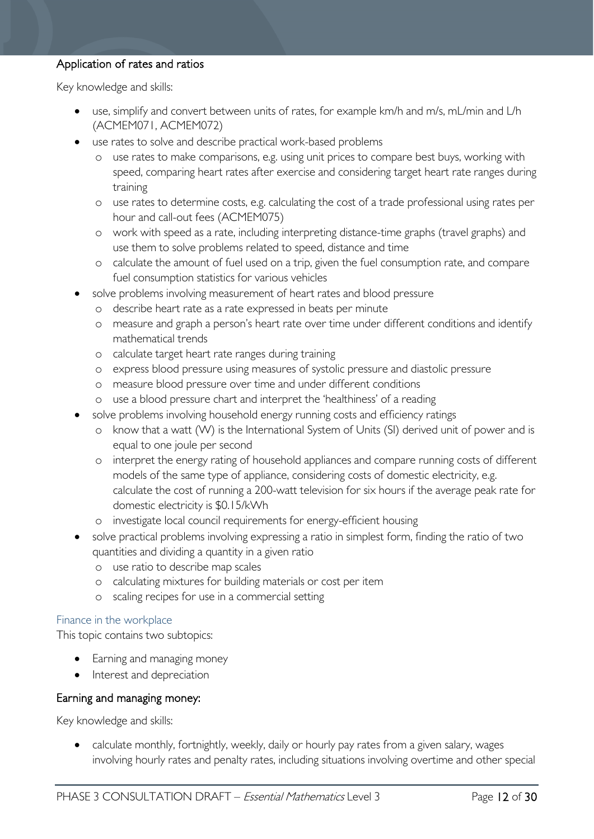#### Application of rates and ratios

Key knowledge and skills:

- use, simplify and convert between units of rates, for example km/h and m/s, mL/min and L/h (ACMEM071, ACMEM072)
- use rates to solve and describe practical work-based problems
	- o use rates to make comparisons, e.g. using unit prices to compare best buys, working with speed, comparing heart rates after exercise and considering target heart rate ranges during training
	- o use rates to determine costs, e.g. calculating the cost of a trade professional using rates per hour and call-out fees (ACMEM075)
	- o work with speed as a rate, including interpreting distance-time graphs (travel graphs) and use them to solve problems related to speed, distance and time
	- o calculate the amount of fuel used on a trip, given the fuel consumption rate, and compare fuel consumption statistics for various vehicles
- solve problems involving measurement of heart rates and blood pressure
	- o describe heart rate as a rate expressed in beats per minute
	- o measure and graph a person's heart rate over time under different conditions and identify mathematical trends
	- o calculate target heart rate ranges during training
	- o express blood pressure using measures of systolic pressure and diastolic pressure
	- o measure blood pressure over time and under different conditions
	- o use a blood pressure chart and interpret the 'healthiness' of a reading
- solve problems involving household energy running costs and efficiency ratings
	- o know that a watt (W) is the International System of Units (SI) derived unit of power and is equal to one joule per second
	- o interpret the energy rating of household appliances and compare running costs of different models of the same type of appliance, considering costs of domestic electricity, e.g. calculate the cost of running a 200-watt television for six hours if the average peak rate for domestic electricity is \$0.15/kWh
	- o investigate local council requirements for energy-efficient housing
- solve practical problems involving expressing a ratio in simplest form, finding the ratio of two quantities and dividing a quantity in a given ratio
	- o use ratio to describe map scales
	- o calculating mixtures for building materials or cost per item
	- o scaling recipes for use in a commercial setting

#### <span id="page-11-0"></span>Finance in the workplace

This topic contains two subtopics:

- Earning and managing money
- Interest and depreciation

#### Earning and managing money:

Key knowledge and skills:

• calculate monthly, fortnightly, weekly, daily or hourly pay rates from a given salary, wages involving hourly rates and penalty rates, including situations involving overtime and other special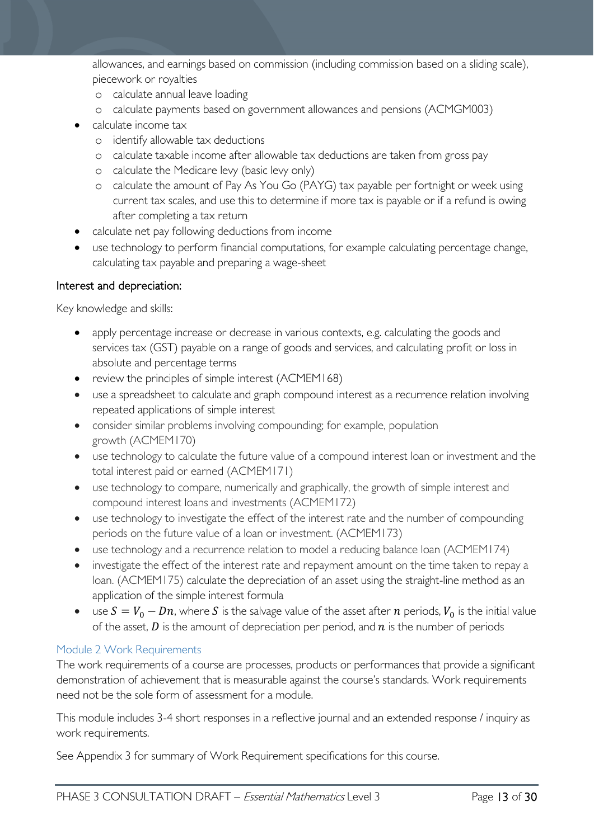allowances, and earnings based on commission (including commission based on a sliding scale), piecework or royalties

- o calculate annual leave loading
- o calculate payments based on government allowances and pensions (ACMGM003)
- calculate income tax
	- o identify allowable tax deductions
	- o calculate taxable income after allowable tax deductions are taken from gross pay
	- o calculate the Medicare levy (basic levy only)
	- o calculate the amount of Pay As You Go (PAYG) tax payable per fortnight or week using current tax scales, and use this to determine if more tax is payable or if a refund is owing after completing a tax return
- calculate net pay following deductions from income
- use technology to perform financial computations, for example calculating percentage change, calculating tax payable and preparing a wage-sheet

#### Interest and depreciation:

Key knowledge and skills:

- apply percentage increase or decrease in various contexts, e.g. calculating the goods and services tax (GST) payable on a range of goods and services, and calculating profit or loss in absolute and percentage terms
- review the principles of simple interest (ACMEM168)
- use a spreadsheet to calculate and graph compound interest as a recurrence relation involving repeated applications of simple interest
- consider similar problems involving compounding; for example, population growth (ACMEM170)
- use technology to calculate the future value of a compound interest loan or investment and the total interest paid or earned (ACMEM171)
- use technology to compare, numerically and graphically, the growth of simple interest and compound interest loans and investments (ACMEM172)
- use technology to investigate the effect of the interest rate and the number of compounding periods on the future value of a loan or investment. (ACMEM173)
- use technology and a recurrence relation to model a reducing balance loan (ACMEM174)
- investigate the effect of the interest rate and repayment amount on the time taken to repay a loan. (ACMEM175) calculate the depreciation of an asset using the straight-line method as an application of the simple interest formula
- use  $S = V_0 Dn$ , where S is the salvage value of the asset after n periods,  $V_0$  is the initial value of the asset,  $D$  is the amount of depreciation per period, and  $n$  is the number of periods

#### <span id="page-12-0"></span>Module 2 Work Requirements

The work requirements of a course are processes, products or performances that provide a significant demonstration of achievement that is measurable against the course's standards. Work requirements need not be the sole form of assessment for a module.

This module includes 3-4 short responses in a reflective journal and an extended response / inquiry as work requirements.

See Appendix 3 for summary of Work Requirement specifications for this course.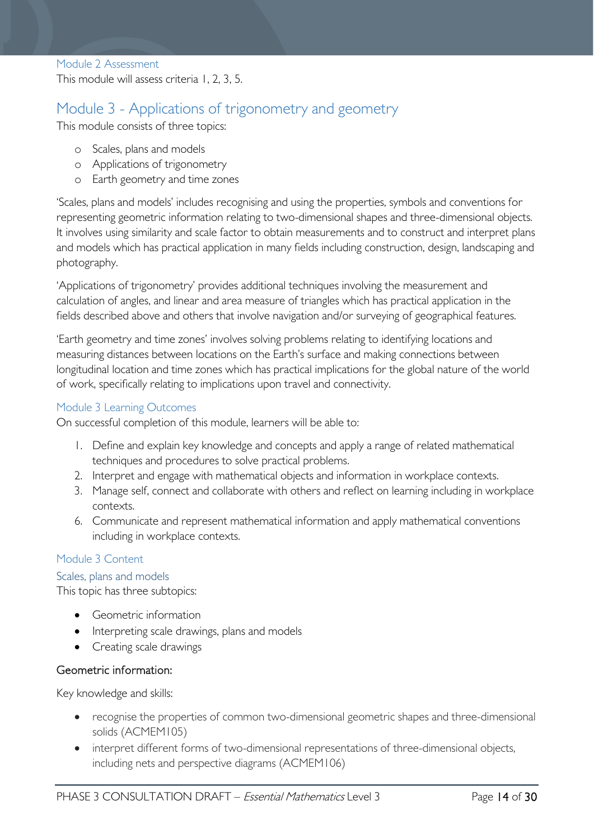<span id="page-13-0"></span>Module 2 Assessment

This module will assess criteria 1, 2, 3, 5.

# <span id="page-13-1"></span>Module 3 - Applications of trigonometry and geometry

This module consists of three topics:

- o Scales, plans and models
- o Applications of trigonometry
- o Earth geometry and time zones

'Scales, plans and models' includes recognising and using the properties, symbols and conventions for representing geometric information relating to two-dimensional shapes and three-dimensional objects. It involves using similarity and scale factor to obtain measurements and to construct and interpret plans and models which has practical application in many fields including construction, design, landscaping and photography.

'Applications of trigonometry' provides additional techniques involving the measurement and calculation of angles, and linear and area measure of triangles which has practical application in the fields described above and others that involve navigation and/or surveying of geographical features.

'Earth geometry and time zones' involves solving problems relating to identifying locations and measuring distances between locations on the Earth's surface and making connections between longitudinal location and time zones which has practical implications for the global nature of the world of work, specifically relating to implications upon travel and connectivity.

#### <span id="page-13-2"></span>Module 3 Learning Outcomes

On successful completion of this module, learners will be able to:

- 1. Define and explain key knowledge and concepts and apply a range of related mathematical techniques and procedures to solve practical problems.
- 2. Interpret and engage with mathematical objects and information in workplace contexts.
- 3. Manage self, connect and collaborate with others and reflect on learning including in workplace contexts.
- 6. Communicate and represent mathematical information and apply mathematical conventions including in workplace contexts.

#### <span id="page-13-3"></span>Module 3 Content

<span id="page-13-4"></span>Scales, plans and models

This topic has three subtopics:

- Geometric information
- Interpreting scale drawings, plans and models
- Creating scale drawings

#### Geometric information:

Key knowledge and skills:

- recognise the properties of common two-dimensional geometric shapes and three-dimensional solids (ACMEM105)
- interpret different forms of two-dimensional representations of three-dimensional objects, including nets and perspective diagrams (ACMEM106)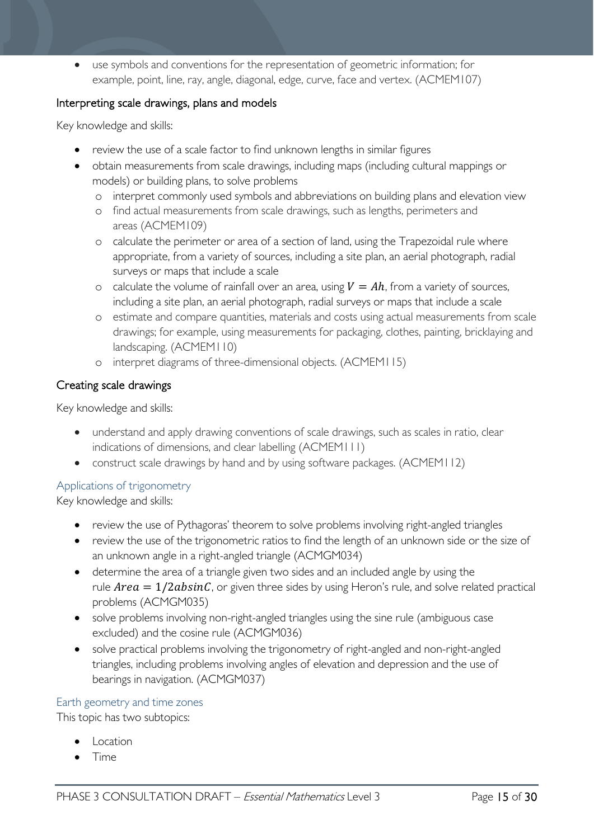• use symbols and conventions for the representation of geometric information; for example, point, line, ray, angle, diagonal, edge, curve, face and vertex. (ACMEM107)

#### Interpreting scale drawings, plans and models

Key knowledge and skills:

- review the use of a scale factor to find unknown lengths in similar figures
- obtain measurements from scale drawings, including maps (including cultural mappings or models) or building plans, to solve problems
	- o interpret commonly used symbols and abbreviations on building plans and elevation view
	- o find actual measurements from scale drawings, such as lengths, perimeters and areas (ACMEM109)
	- o calculate the perimeter or area of a section of land, using the Trapezoidal rule where appropriate, from a variety of sources, including a site plan, an aerial photograph, radial surveys or maps that include a scale
	- o calculate the volume of rainfall over an area, using  $V = Ah$ , from a variety of sources, including a site plan, an aerial photograph, radial surveys or maps that include a scale
	- o estimate and compare quantities, materials and costs using actual measurements from scale drawings; for example, using measurements for packaging, clothes, painting, bricklaying and landscaping. (ACMEM110)
	- o interpret diagrams of three-dimensional objects. (ACMEM115)

#### Creating scale drawings

Key knowledge and skills:

- understand and apply drawing conventions of scale drawings, such as scales in ratio, clear indications of dimensions, and clear labelling (ACMEM111)
- construct scale drawings by hand and by using software packages. (ACMEM112)

#### <span id="page-14-0"></span>Applications of trigonometry

Key knowledge and skills:

- review the use of Pythagoras' theorem to solve problems involving right-angled triangles
- review the use of the trigonometric ratios to find the length of an unknown side or the size of an unknown angle in a right-angled triangle (ACMGM034)
- determine the area of a triangle given two sides and an included angle by using the rule  $Area = 1/2absinC$ , or given three sides by using Heron's rule, and solve related practical problems (ACMGM035)
- solve problems involving non-right-angled triangles using the sine rule (ambiguous case excluded) and the cosine rule (ACMGM036)
- solve practical problems involving the trigonometry of right-angled and non-right-angled triangles, including problems involving angles of elevation and depression and the use of bearings in navigation. (ACMGM037)

#### <span id="page-14-1"></span>Earth geometry and time zones

This topic has two subtopics:

- **Location**
- Time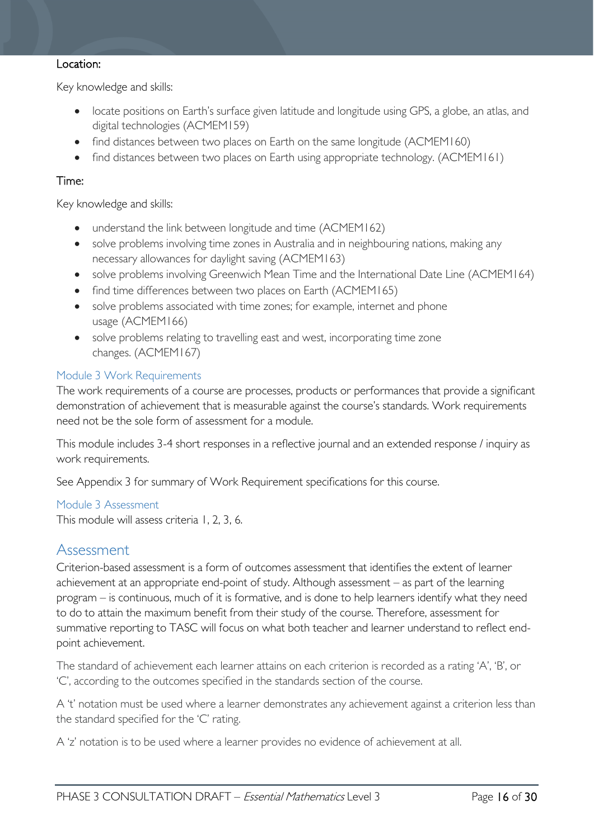#### Location:

Key knowledge and skills:

- locate positions on Earth's surface given latitude and longitude using GPS, a globe, an atlas, and digital technologies (ACMEM159)
- find distances between two places on Earth on the same longitude (ACMEM160)
- find distances between two places on Earth using appropriate technology. (ACMEM161)

#### Time:

Key knowledge and skills:

- understand the link between longitude and time (ACMEM162)
- solve problems involving time zones in Australia and in neighbouring nations, making any necessary allowances for daylight saving (ACMEM163)
- solve problems involving Greenwich Mean Time and the International Date Line (ACMEM164)
- find time differences between two places on Earth (ACMEM165)
- solve problems associated with time zones; for example, internet and phone usage (ACMEM166)
- solve problems relating to travelling east and west, incorporating time zone changes. (ACMEM167)

#### <span id="page-15-0"></span>Module 3 Work Requirements

The work requirements of a course are processes, products or performances that provide a significant demonstration of achievement that is measurable against the course's standards. Work requirements need not be the sole form of assessment for a module.

This module includes 3-4 short responses in a reflective journal and an extended response / inquiry as work requirements.

See Appendix 3 for summary of Work Requirement specifications for this course.

<span id="page-15-1"></span>Module 3 Assessment This module will assess criteria 1, 2, 3, 6.

### <span id="page-15-2"></span>Assessment

Criterion-based assessment is a form of outcomes assessment that identifies the extent of learner achievement at an appropriate end-point of study. Although assessment – as part of the learning program – is continuous, much of it is formative, and is done to help learners identify what they need to do to attain the maximum benefit from their study of the course. Therefore, assessment for summative reporting to TASC will focus on what both teacher and learner understand to reflect endpoint achievement.

The standard of achievement each learner attains on each criterion is recorded as a rating 'A', 'B', or 'C', according to the outcomes specified in the standards section of the course.

A 't' notation must be used where a learner demonstrates any achievement against a criterion less than the standard specified for the 'C' rating.

A 'z' notation is to be used where a learner provides no evidence of achievement at all.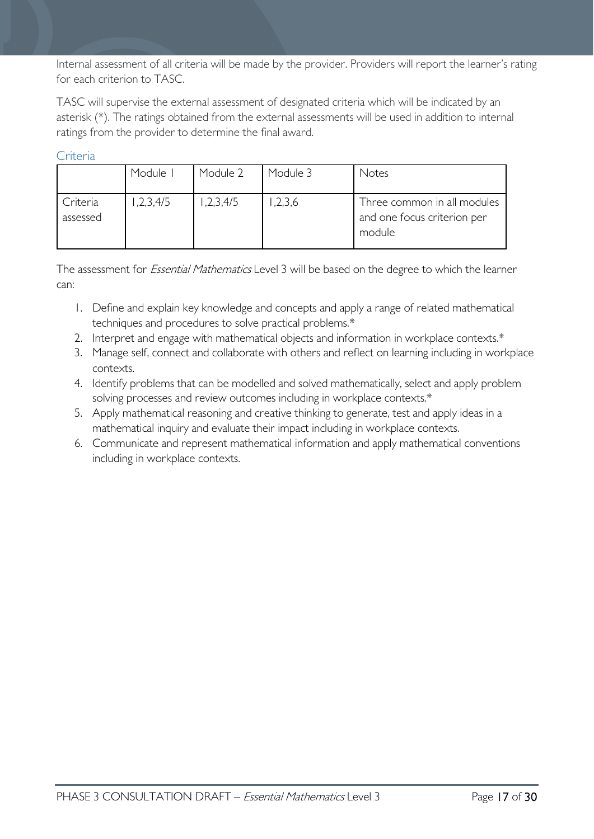Internal assessment of all criteria will be made by the provider. Providers will report the learner's rating for each criterion to TASC.

TASC will supervise the external assessment of designated criteria which will be indicated by an asterisk (\*). The ratings obtained from the external assessments will be used in addition to internal ratings from the provider to determine the final award.

#### <span id="page-16-0"></span>**Criteria**

|                      | Module I  | Module 2 | Module 3 | Notes                                                                |
|----------------------|-----------|----------|----------|----------------------------------------------------------------------|
| Criteria<br>assessed | 1,2,3,4/5 | ,2,3,4/5 | ,2,3,6   | Three common in all modules<br>and one focus criterion per<br>module |

The assessment for *Essential Mathematics* Level 3 will be based on the degree to which the learner can:

- 1. Define and explain key knowledge and concepts and apply a range of related mathematical techniques and procedures to solve practical problems.\*
- 2. Interpret and engage with mathematical objects and information in workplace contexts.\*
- 3. Manage self, connect and collaborate with others and reflect on learning including in workplace contexts.
- 4. Identify problems that can be modelled and solved mathematically, select and apply problem solving processes and review outcomes including in workplace contexts.\*
- 5. Apply mathematical reasoning and creative thinking to generate, test and apply ideas in a mathematical inquiry and evaluate their impact including in workplace contexts.
- 6. Communicate and represent mathematical information and apply mathematical conventions including in workplace contexts.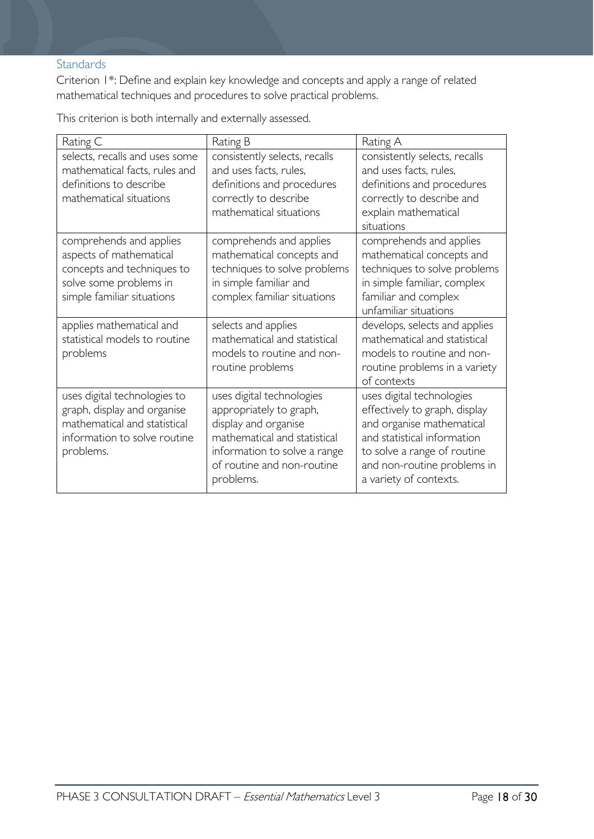#### <span id="page-17-0"></span>**Standards**

Criterion 1\*: Define and explain key knowledge and concepts and apply a range of related mathematical techniques and procedures to solve practical problems.

This criterion is both internally and externally assessed.

| Rating C                                                                                                                                 | Rating B                                                                                                                                                                                | Rating A                                                                                                                                                                                                       |
|------------------------------------------------------------------------------------------------------------------------------------------|-----------------------------------------------------------------------------------------------------------------------------------------------------------------------------------------|----------------------------------------------------------------------------------------------------------------------------------------------------------------------------------------------------------------|
| selects, recalls and uses some<br>mathematical facts, rules and<br>definitions to describe<br>mathematical situations                    | consistently selects, recalls<br>and uses facts, rules,<br>definitions and procedures<br>correctly to describe<br>mathematical situations                                               | consistently selects, recalls<br>and uses facts, rules,<br>definitions and procedures<br>correctly to describe and<br>explain mathematical<br>situations                                                       |
| comprehends and applies<br>aspects of mathematical<br>concepts and techniques to<br>solve some problems in<br>simple familiar situations | comprehends and applies<br>mathematical concepts and<br>techniques to solve problems<br>in simple familiar and<br>complex familiar situations                                           | comprehends and applies<br>mathematical concepts and<br>techniques to solve problems<br>in simple familiar, complex<br>familiar and complex<br>unfamiliar situations                                           |
| applies mathematical and<br>statistical models to routine<br>problems                                                                    | selects and applies<br>mathematical and statistical<br>models to routine and non-<br>routine problems                                                                                   | develops, selects and applies<br>mathematical and statistical<br>models to routine and non-<br>routine problems in a variety<br>of contexts                                                                    |
| uses digital technologies to<br>graph, display and organise<br>mathematical and statistical<br>information to solve routine<br>problems. | uses digital technologies<br>appropriately to graph,<br>display and organise<br>mathematical and statistical<br>information to solve a range<br>of routine and non-routine<br>problems. | uses digital technologies<br>effectively to graph, display<br>and organise mathematical<br>and statistical information<br>to solve a range of routine<br>and non-routine problems in<br>a variety of contexts. |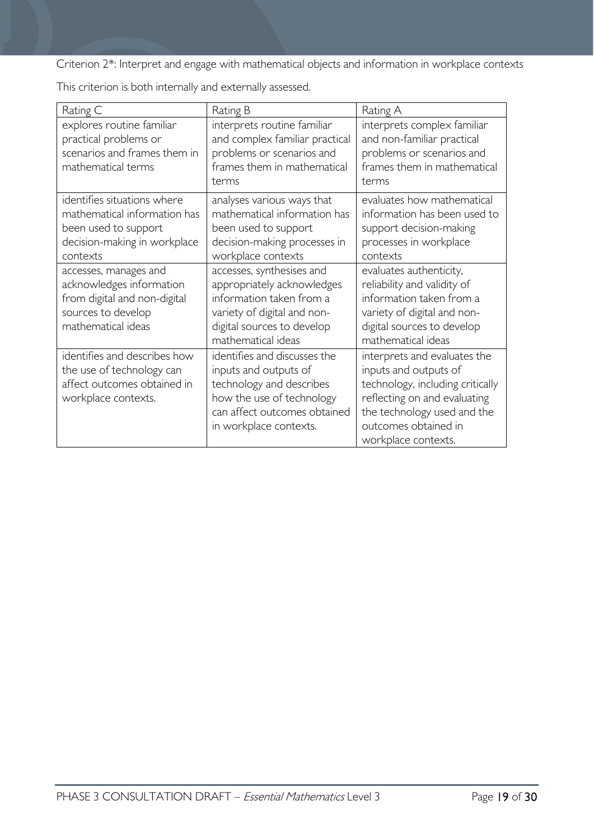Criterion 2\*: Interpret and engage with mathematical objects and information in workplace contexts

| Rating C                                                                                                                        | Rating B                                                                                                                                                                 | Rating A                                                                                                                                                                                                |
|---------------------------------------------------------------------------------------------------------------------------------|--------------------------------------------------------------------------------------------------------------------------------------------------------------------------|---------------------------------------------------------------------------------------------------------------------------------------------------------------------------------------------------------|
| explores routine familiar<br>practical problems or<br>scenarios and frames them in<br>mathematical terms                        | interprets routine familiar<br>and complex familiar practical<br>problems or scenarios and<br>frames them in mathematical<br>terms                                       | interprets complex familiar<br>and non-familiar practical<br>problems or scenarios and<br>frames them in mathematical<br>terms                                                                          |
| identifies situations where<br>mathematical information has<br>been used to support<br>decision-making in workplace<br>contexts | analyses various ways that<br>mathematical information has<br>been used to support<br>decision-making processes in<br>workplace contexts                                 | evaluates how mathematical<br>information has been used to<br>support decision-making<br>processes in workplace<br>contexts                                                                             |
| accesses, manages and<br>acknowledges information<br>from digital and non-digital<br>sources to develop<br>mathematical ideas   | accesses, synthesises and<br>appropriately acknowledges<br>information taken from a<br>variety of digital and non-<br>digital sources to develop<br>mathematical ideas   | evaluates authenticity,<br>reliability and validity of<br>information taken from a<br>variety of digital and non-<br>digital sources to develop<br>mathematical ideas                                   |
| identifies and describes how<br>the use of technology can<br>affect outcomes obtained in<br>workplace contexts.                 | identifies and discusses the<br>inputs and outputs of<br>technology and describes<br>how the use of technology<br>can affect outcomes obtained<br>in workplace contexts. | interprets and evaluates the<br>inputs and outputs of<br>technology, including critically<br>reflecting on and evaluating<br>the technology used and the<br>outcomes obtained in<br>workplace contexts. |

This criterion is both internally and externally assessed.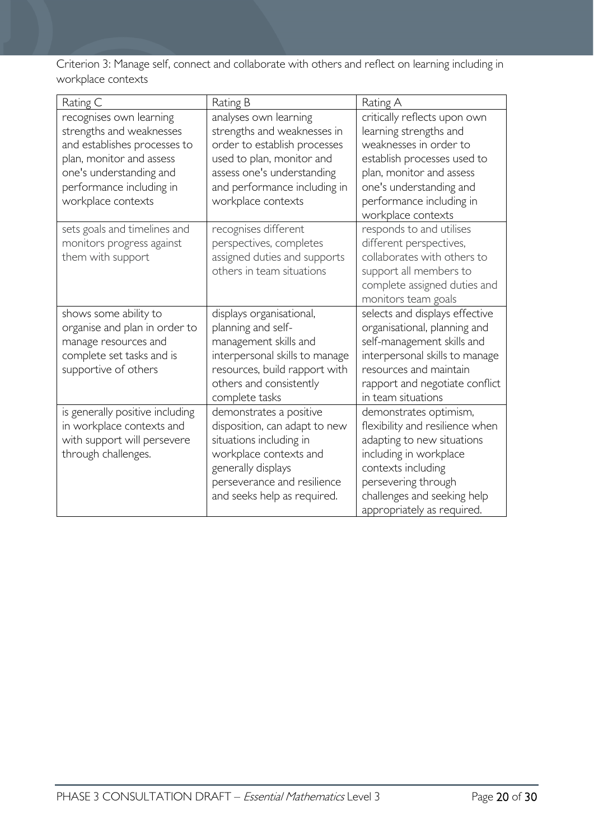Criterion 3: Manage self, connect and collaborate with others and reflect on learning including in workplace contexts

| Rating C                                                                                                                                                                                     | Rating B                                                                                                                                                                                              | Rating A                                                                                                                                                                                                                    |
|----------------------------------------------------------------------------------------------------------------------------------------------------------------------------------------------|-------------------------------------------------------------------------------------------------------------------------------------------------------------------------------------------------------|-----------------------------------------------------------------------------------------------------------------------------------------------------------------------------------------------------------------------------|
| recognises own learning<br>strengths and weaknesses<br>and establishes processes to<br>plan, monitor and assess<br>one's understanding and<br>performance including in<br>workplace contexts | analyses own learning<br>strengths and weaknesses in<br>order to establish processes<br>used to plan, monitor and<br>assess one's understanding<br>and performance including in<br>workplace contexts | critically reflects upon own<br>learning strengths and<br>weaknesses in order to<br>establish processes used to<br>plan, monitor and assess<br>one's understanding and<br>performance including in<br>workplace contexts    |
| sets goals and timelines and<br>monitors progress against<br>them with support                                                                                                               | recognises different<br>perspectives, completes<br>assigned duties and supports<br>others in team situations                                                                                          | responds to and utilises<br>different perspectives,<br>collaborates with others to<br>support all members to<br>complete assigned duties and<br>monitors team goals                                                         |
| shows some ability to<br>organise and plan in order to<br>manage resources and<br>complete set tasks and is<br>supportive of others                                                          | displays organisational,<br>planning and self-<br>management skills and<br>interpersonal skills to manage<br>resources, build rapport with<br>others and consistently<br>complete tasks               | selects and displays effective<br>organisational, planning and<br>self-management skills and<br>interpersonal skills to manage<br>resources and maintain<br>rapport and negotiate conflict<br>in team situations            |
| is generally positive including<br>in workplace contexts and<br>with support will persevere<br>through challenges.                                                                           | demonstrates a positive<br>disposition, can adapt to new<br>situations including in<br>workplace contexts and<br>generally displays<br>perseverance and resilience<br>and seeks help as required.     | demonstrates optimism,<br>flexibility and resilience when<br>adapting to new situations<br>including in workplace<br>contexts including<br>persevering through<br>challenges and seeking help<br>appropriately as required. |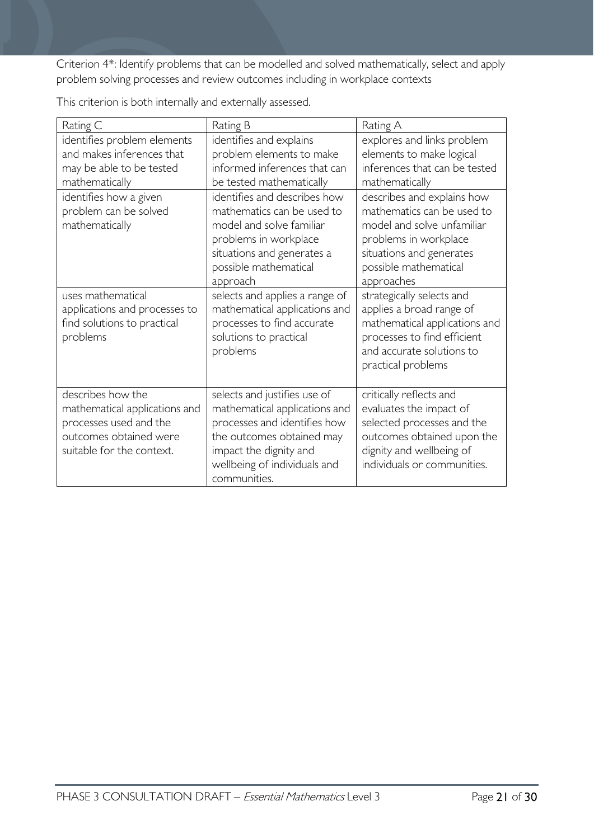Criterion 4\*: Identify problems that can be modelled and solved mathematically, select and apply problem solving processes and review outcomes including in workplace contexts

| Rating C                                                                                                                                                                    | Rating B                                                                                                                                                                                                                           | Rating A                                                                                                                                                                                                                     |
|-----------------------------------------------------------------------------------------------------------------------------------------------------------------------------|------------------------------------------------------------------------------------------------------------------------------------------------------------------------------------------------------------------------------------|------------------------------------------------------------------------------------------------------------------------------------------------------------------------------------------------------------------------------|
| identifies problem elements<br>and makes inferences that<br>may be able to be tested<br>mathematically<br>identifies how a given<br>problem can be solved<br>mathematically | identifies and explains<br>problem elements to make<br>informed inferences that can<br>be tested mathematically<br>identifies and describes how<br>mathematics can be used to<br>model and solve familiar<br>problems in workplace | explores and links problem<br>elements to make logical<br>inferences that can be tested<br>mathematically<br>describes and explains how<br>mathematics can be used to<br>model and solve unfamiliar<br>problems in workplace |
|                                                                                                                                                                             | situations and generates a<br>possible mathematical<br>approach                                                                                                                                                                    | situations and generates<br>possible mathematical<br>approaches                                                                                                                                                              |
| uses mathematical<br>applications and processes to<br>find solutions to practical<br>problems                                                                               | selects and applies a range of<br>mathematical applications and<br>processes to find accurate<br>solutions to practical<br>problems                                                                                                | strategically selects and<br>applies a broad range of<br>mathematical applications and<br>processes to find efficient<br>and accurate solutions to<br>practical problems                                                     |
| describes how the<br>mathematical applications and<br>processes used and the<br>outcomes obtained were<br>suitable for the context.                                         | selects and justifies use of<br>mathematical applications and<br>processes and identifies how<br>the outcomes obtained may<br>impact the dignity and<br>wellbeing of individuals and<br>communities.                               | critically reflects and<br>evaluates the impact of<br>selected processes and the<br>outcomes obtained upon the<br>dignity and wellbeing of<br>individuals or communities.                                                    |

This criterion is both internally and externally assessed.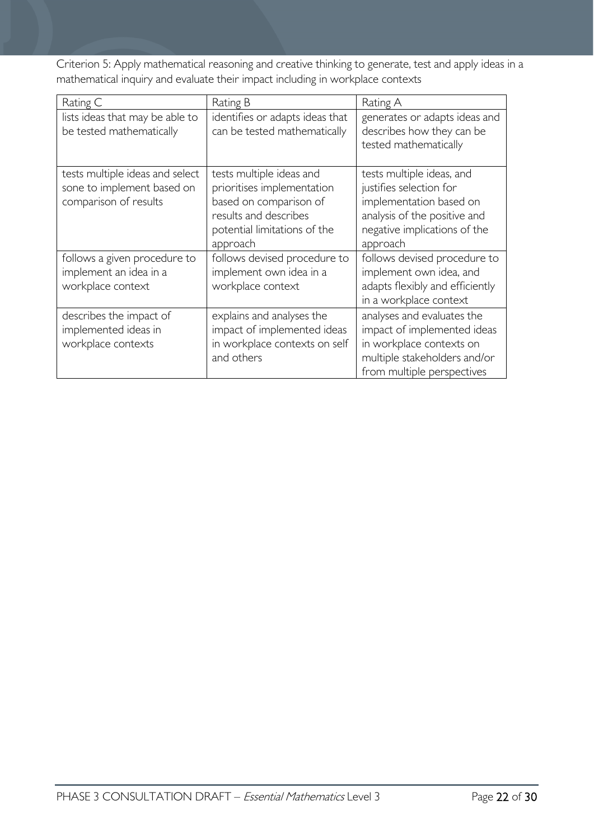Criterion 5: Apply mathematical reasoning and creative thinking to generate, test and apply ideas in a mathematical inquiry and evaluate their impact including in workplace contexts

| Rating C                                                                               | Rating B                                                                                                                                              | Rating A                                                                                                                                                    |
|----------------------------------------------------------------------------------------|-------------------------------------------------------------------------------------------------------------------------------------------------------|-------------------------------------------------------------------------------------------------------------------------------------------------------------|
| lists ideas that may be able to<br>be tested mathematically                            | identifies or adapts ideas that<br>can be tested mathematically                                                                                       | generates or adapts ideas and<br>describes how they can be<br>tested mathematically                                                                         |
| tests multiple ideas and select<br>sone to implement based on<br>comparison of results | tests multiple ideas and<br>prioritises implementation<br>based on comparison of<br>results and describes<br>potential limitations of the<br>approach | tests multiple ideas, and<br>justifies selection for<br>implementation based on<br>analysis of the positive and<br>negative implications of the<br>approach |
| follows a given procedure to<br>implement an idea in a<br>workplace context            | follows devised procedure to<br>implement own idea in a<br>workplace context                                                                          | follows devised procedure to<br>implement own idea, and<br>adapts flexibly and efficiently<br>in a workplace context                                        |
| describes the impact of<br>implemented ideas in<br>workplace contexts                  | explains and analyses the<br>impact of implemented ideas<br>in workplace contexts on self<br>and others                                               | analyses and evaluates the<br>impact of implemented ideas<br>in workplace contexts on<br>multiple stakeholders and/or<br>from multiple perspectives         |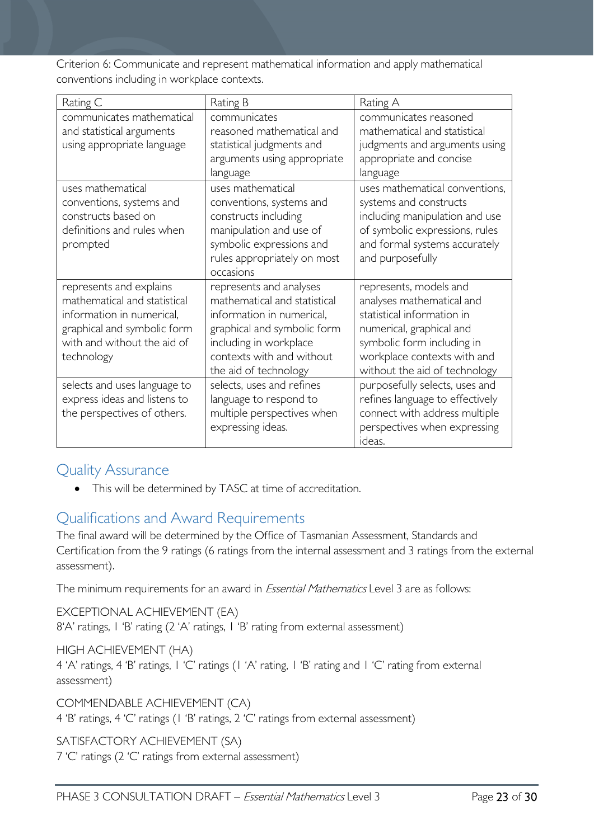Criterion 6: Communicate and represent mathematical information and apply mathematical conventions including in workplace contexts.

| Rating C                                                                                                                                                         | Rating B                                                                                                                                                                                            | Rating A                                                                                                                                                                                                    |
|------------------------------------------------------------------------------------------------------------------------------------------------------------------|-----------------------------------------------------------------------------------------------------------------------------------------------------------------------------------------------------|-------------------------------------------------------------------------------------------------------------------------------------------------------------------------------------------------------------|
| communicates mathematical<br>and statistical arguments<br>using appropriate language                                                                             | communicates<br>reasoned mathematical and<br>statistical judgments and<br>arguments using appropriate<br>language                                                                                   | communicates reasoned<br>mathematical and statistical<br>judgments and arguments using<br>appropriate and concise<br>language                                                                               |
| uses mathematical<br>conventions, systems and<br>constructs based on<br>definitions and rules when<br>prompted                                                   | uses mathematical<br>conventions, systems and<br>constructs including<br>manipulation and use of<br>symbolic expressions and<br>rules appropriately on most<br>occasions                            | uses mathematical conventions,<br>systems and constructs<br>including manipulation and use<br>of symbolic expressions, rules<br>and formal systems accurately<br>and purposefully                           |
| represents and explains<br>mathematical and statistical<br>information in numerical,<br>graphical and symbolic form<br>with and without the aid of<br>technology | represents and analyses<br>mathematical and statistical<br>information in numerical,<br>graphical and symbolic form<br>including in workplace<br>contexts with and without<br>the aid of technology | represents, models and<br>analyses mathematical and<br>statistical information in<br>numerical, graphical and<br>symbolic form including in<br>workplace contexts with and<br>without the aid of technology |
| selects and uses language to<br>express ideas and listens to<br>the perspectives of others.                                                                      | selects, uses and refines<br>language to respond to<br>multiple perspectives when<br>expressing ideas.                                                                                              | purposefully selects, uses and<br>refines language to effectively<br>connect with address multiple<br>perspectives when expressing<br>ideas.                                                                |

# <span id="page-22-0"></span>Quality Assurance

• This will be determined by TASC at time of accreditation.

# <span id="page-22-1"></span>Qualifications and Award Requirements

The final award will be determined by the Office of Tasmanian Assessment, Standards and Certification from the 9 ratings (6 ratings from the internal assessment and 3 ratings from the external assessment).

The minimum requirements for an award in *Essential Mathematics* Level 3 are as follows:

EXCEPTIONAL ACHIEVEMENT (EA) 8'A' ratings, 1 'B' rating (2 'A' ratings, 1 'B' rating from external assessment)

HIGH ACHIEVEMENT (HA)

4 'A' ratings, 4 'B' ratings, 1 'C' ratings (1 'A' rating, 1 'B' rating and 1 'C' rating from external assessment)

COMMENDABLE ACHIEVEMENT (CA)

4 'B' ratings, 4 'C' ratings (1 'B' ratings, 2 'C' ratings from external assessment)

SATISFACTORY ACHIEVEMENT (SA)

7 'C' ratings (2 'C' ratings from external assessment)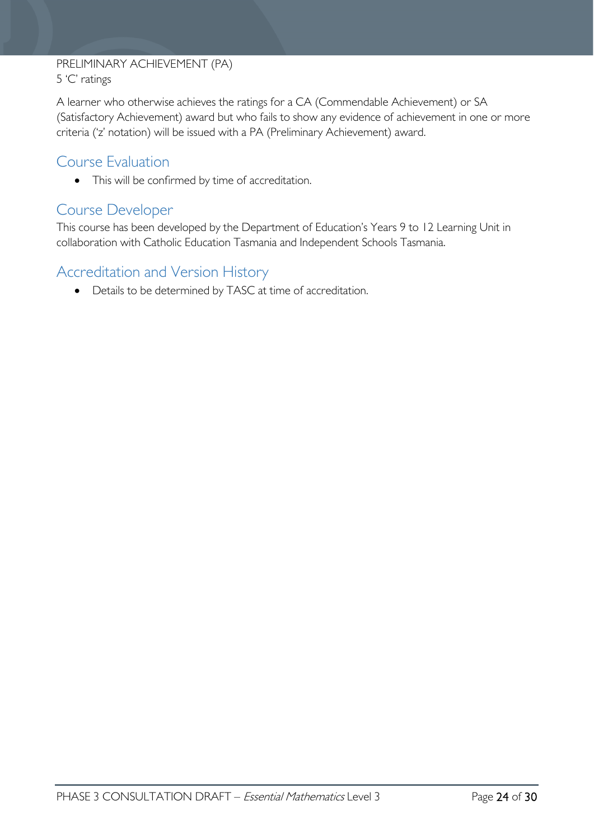#### PRELIMINARY ACHIEVEMENT (PA) 5 'C' ratings

A learner who otherwise achieves the ratings for a CA (Commendable Achievement) or SA (Satisfactory Achievement) award but who fails to show any evidence of achievement in one or more criteria ('z' notation) will be issued with a PA (Preliminary Achievement) award.

# <span id="page-23-0"></span>Course Evaluation

• This will be confirmed by time of accreditation.

# <span id="page-23-1"></span>Course Developer

This course has been developed by the Department of Education's Years 9 to 12 Learning Unit in collaboration with Catholic Education Tasmania and Independent Schools Tasmania.

# <span id="page-23-2"></span>Accreditation and Version History

• Details to be determined by TASC at time of accreditation.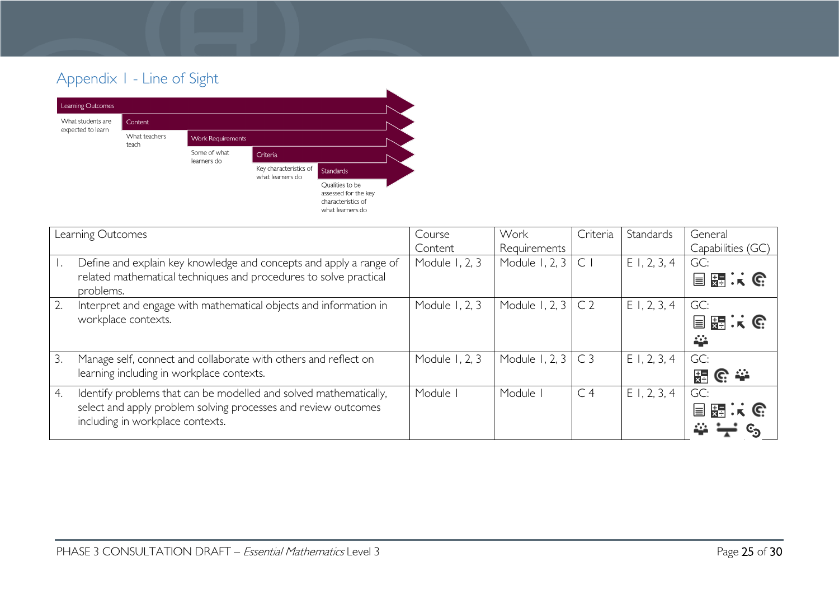# Appendix 1 - Line of Sight



<span id="page-24-0"></span>

|    | Learning Outcomes                                                                                                                                                       | Course         | Work           | Criteria       | Standards      | General           |
|----|-------------------------------------------------------------------------------------------------------------------------------------------------------------------------|----------------|----------------|----------------|----------------|-------------------|
|    |                                                                                                                                                                         | Content        | Requirements   |                |                | Capabilities (GC) |
|    | Define and explain key knowledge and concepts and apply a range of<br>related mathematical techniques and procedures to solve practical<br>problems.                    | Module 1, 2, 3 | Module 1, 2, 3 | $\mathsf{C}$   | $E$ 1, 2, 3, 4 | GC:<br>目題:に       |
| 2. | Interpret and engage with mathematical objects and information in<br>workplace contexts.                                                                                | Module 1, 2, 3 | Module 1, 2, 3 | C <sub>2</sub> | E1, 2, 3, 4    | GC:<br>国盟大会<br>÷  |
| 3. | Manage self, connect and collaborate with others and reflect on<br>learning including in workplace contexts.                                                            | Module 1, 2, 3 | Module 1, 2, 3 | C <sub>3</sub> | E1, 2, 3, 4    | GC:<br>_ေ —<br>풇  |
| 4. | Identify problems that can be modelled and solved mathematically,<br>select and apply problem solving processes and review outcomes<br>including in workplace contexts. | Module I       | Module         | C <sub>4</sub> | E1, 2, 3, 4    | GC:<br>目開大で       |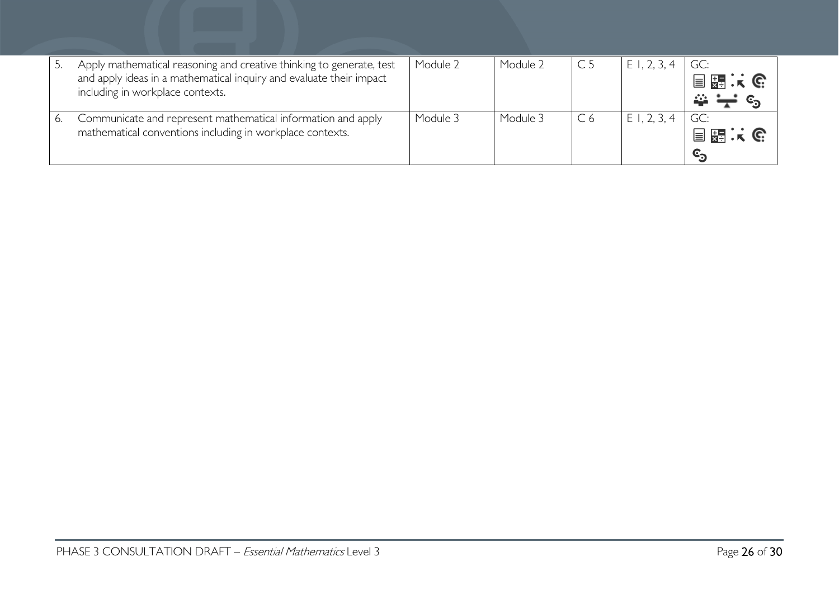|    | Apply mathematical reasoning and creative thinking to generate, test<br>and apply ideas in a mathematical inquiry and evaluate their impact<br>including in workplace contexts. | Module 2 | Module 2 |    | $E$ 1, 2, 3, | GC:<br>目題:(                   |
|----|---------------------------------------------------------------------------------------------------------------------------------------------------------------------------------|----------|----------|----|--------------|-------------------------------|
| 6. | Communicate and represent mathematical information and apply<br>mathematical conventions including in workplace contexts.                                                       | Module 3 | Module 3 | C6 | $E$ 1, 2, 3, | GC:<br>目調味で<br>$\mathbb{c}_5$ |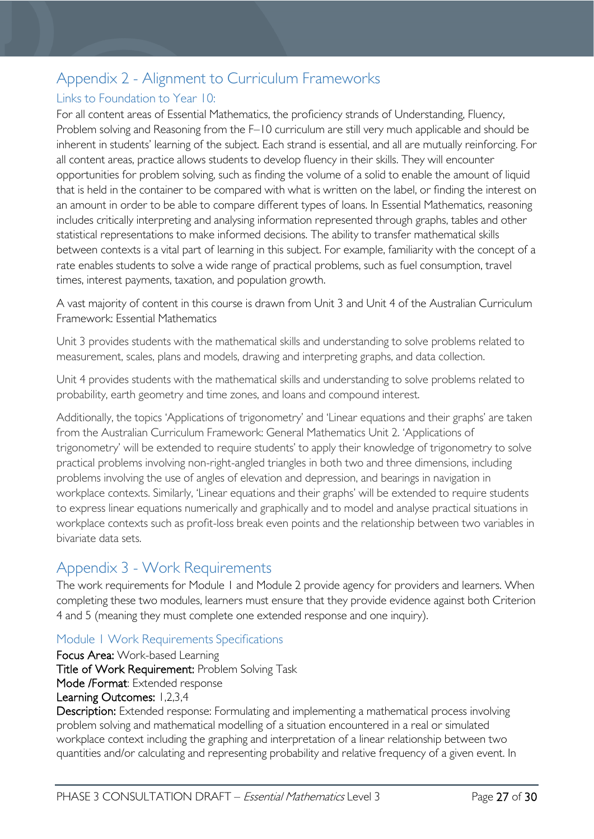# <span id="page-26-0"></span>Appendix 2 - Alignment to Curriculum Frameworks

### <span id="page-26-1"></span>Links to Foundation to Year 10:

For all content areas of Essential Mathematics, the proficiency strands of Understanding, Fluency, Problem solving and Reasoning from the F–10 curriculum are still very much applicable and should be inherent in students' learning of the subject. Each strand is essential, and all are mutually reinforcing. For all content areas, practice allows students to develop fluency in their skills. They will encounter opportunities for problem solving, such as finding the volume of a solid to enable the amount of liquid that is held in the container to be compared with what is written on the label, or finding the interest on an amount in order to be able to compare different types of loans. In Essential Mathematics, reasoning includes critically interpreting and analysing information represented through graphs, tables and other statistical representations to make informed decisions. The ability to transfer mathematical skills between contexts is a vital part of learning in this subject. For example, familiarity with the concept of a rate enables students to solve a wide range of practical problems, such as fuel consumption, travel times, interest payments, taxation, and population growth.

A vast majority of content in this course is drawn from Unit 3 and Unit 4 of the Australian Curriculum Framework: Essential Mathematics

Unit 3 provides students with the mathematical skills and understanding to solve problems related to measurement, scales, plans and models, drawing and interpreting graphs, and data collection.

Unit 4 provides students with the mathematical skills and understanding to solve problems related to probability, earth geometry and time zones, and loans and compound interest.

Additionally, the topics 'Applications of trigonometry' and 'Linear equations and their graphs' are taken from the Australian Curriculum Framework: General Mathematics Unit 2. 'Applications of trigonometry' will be extended to require students' to apply their knowledge of trigonometry to solve practical problems involving non-right-angled triangles in both two and three dimensions, including problems involving the use of angles of elevation and depression, and bearings in navigation in workplace contexts. Similarly, 'Linear equations and their graphs' will be extended to require students to express linear equations numerically and graphically and to model and analyse practical situations in workplace contexts such as profit-loss break even points and the relationship between two variables in bivariate data sets.

# <span id="page-26-2"></span>Appendix 3 - Work Requirements

The work requirements for Module 1 and Module 2 provide agency for providers and learners. When completing these two modules, learners must ensure that they provide evidence against both Criterion 4 and 5 (meaning they must complete one extended response and one inquiry).

### <span id="page-26-3"></span>Module 1 Work Requirements Specifications

Focus Area: Work-based Learning Title of Work Requirement: Problem Solving Task Mode /Format: Extended response Learning Outcomes: 1,2,3,4

Description: Extended response: Formulating and implementing a mathematical process involving problem solving and mathematical modelling of a situation encountered in a real or simulated workplace context including the graphing and interpretation of a linear relationship between two quantities and/or calculating and representing probability and relative frequency of a given event. In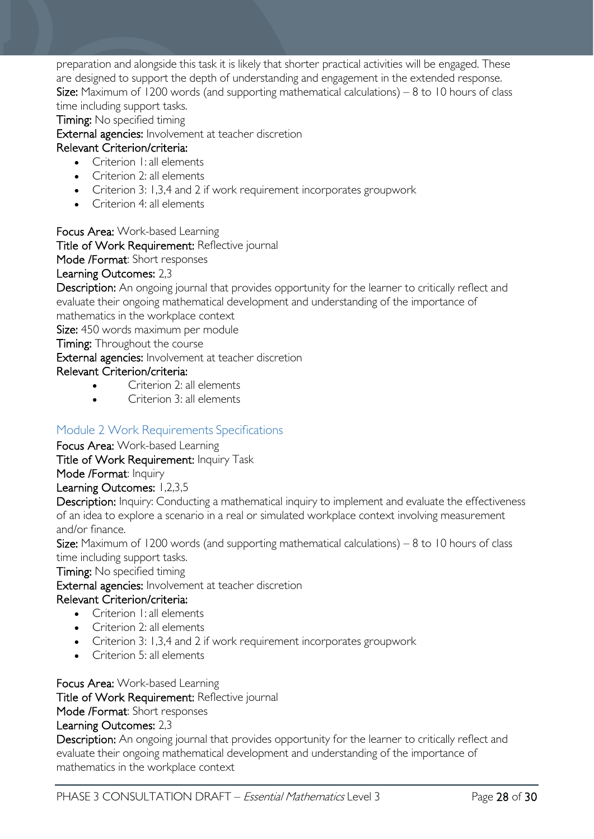preparation and alongside this task it is likely that shorter practical activities will be engaged. These are designed to support the depth of understanding and engagement in the extended response. **Size:** Maximum of 1200 words (and supporting mathematical calculations)  $-8$  to 10 hours of class time including support tasks.

Timing: No specified timing

External agencies: Involvement at teacher discretion

#### Relevant Criterion/criteria:

- Criterion 1: all elements
- Criterion 2: all elements
- Criterion 3: 1,3,4 and 2 if work requirement incorporates groupwork
- Criterion 4: all elements

Focus Area: Work-based Learning

Title of Work Requirement: Reflective journal

Mode /Format: Short responses

#### Learning Outcomes: 2,3

Description: An ongoing journal that provides opportunity for the learner to critically reflect and evaluate their ongoing mathematical development and understanding of the importance of mathematics in the workplace context

Size: 450 words maximum per module

Timing: Throughout the course

External agencies: Involvement at teacher discretion

Relevant Criterion/criteria:

- Criterion 2: all elements
- Criterion 3: all elements

### <span id="page-27-0"></span>Module 2 Work Requirements Specifications

Focus Area: Work-based Learning

Title of Work Requirement: Inquiry Task

Mode /Format: Inquiry

Learning Outcomes: 1,2,3,5

Description: Inquiry: Conducting a mathematical inquiry to implement and evaluate the effectiveness of an idea to explore a scenario in a real or simulated workplace context involving measurement and/or finance.

**Size:** Maximum of 1200 words (and supporting mathematical calculations)  $-8$  to 10 hours of class time including support tasks.

Timing: No specified timing

External agencies: Involvement at teacher discretion

#### Relevant Criterion/criteria:

- Criterion I: all elements
- Criterion 2: all elements
- Criterion 3: 1,3,4 and 2 if work requirement incorporates groupwork
- Criterion 5: all elements

Focus Area: Work-based Learning

Title of Work Requirement: Reflective journal

Mode /Format: Short responses

#### Learning Outcomes: 2,3

Description: An ongoing journal that provides opportunity for the learner to critically reflect and evaluate their ongoing mathematical development and understanding of the importance of mathematics in the workplace context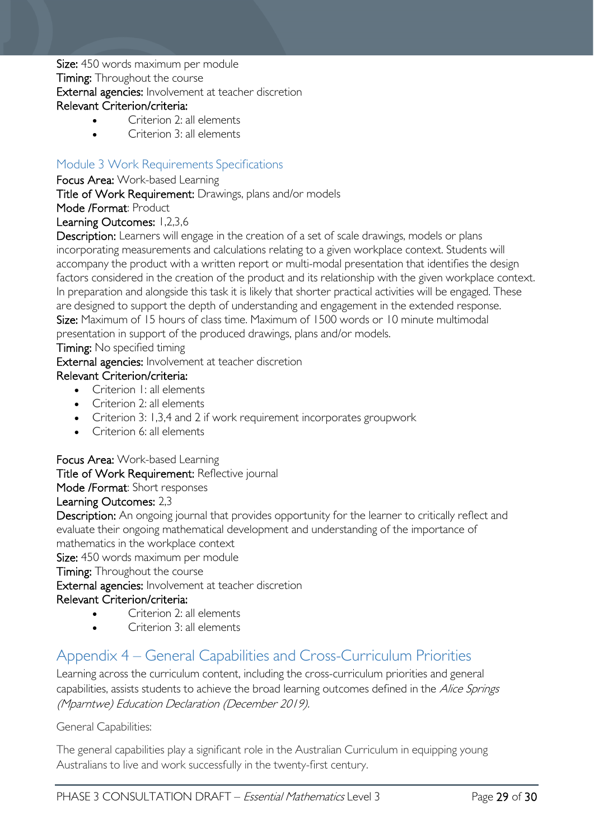Size: 450 words maximum per module **Timing:** Throughout the course External agencies: Involvement at teacher discretion Relevant Criterion/criteria:

#### • Criterion 2: all elements

• Criterion 3: all elements

### <span id="page-28-0"></span>Module 3 Work Requirements Specifications

Focus Area: Work-based Learning

Title of Work Requirement: Drawings, plans and/or models

#### Mode /Format: Product

#### Learning Outcomes: 1,2,3,6

Description: Learners will engage in the creation of a set of scale drawings, models or plans incorporating measurements and calculations relating to a given workplace context. Students will accompany the product with a written report or multi-modal presentation that identifies the design factors considered in the creation of the product and its relationship with the given workplace context. In preparation and alongside this task it is likely that shorter practical activities will be engaged. These are designed to support the depth of understanding and engagement in the extended response. Size: Maximum of 15 hours of class time. Maximum of 1500 words or 10 minute multimodal presentation in support of the produced drawings, plans and/or models.

Timing: No specified timing

External agencies: Involvement at teacher discretion

#### Relevant Criterion/criteria:

- Criterion I: all elements
- Criterion 2: all elements
- Criterion 3: 1,3,4 and 2 if work requirement incorporates groupwork
- Criterion 6: all elements

#### Focus Area: Work-based Learning

#### Title of Work Requirement: Reflective journal

Mode /Format: Short responses

#### Learning Outcomes: 2,3

Description: An ongoing journal that provides opportunity for the learner to critically reflect and evaluate their ongoing mathematical development and understanding of the importance of mathematics in the workplace context

Size: 450 words maximum per module

#### Timing: Throughout the course

External agencies: Involvement at teacher discretion

#### Relevant Criterion/criteria:

- Criterion 2: all elements
- Criterion 3: all elements

# <span id="page-28-1"></span>Appendix 4 – General Capabilities and Cross-Curriculum Priorities

Learning across the curriculum content, including the cross-curriculum priorities and general capabilities, assists students to achieve the broad learning outcomes defined in the Alice Springs (Mparntwe) Education Declaration (December 2019).

General Capabilities:

The general capabilities play a significant role in the Australian Curriculum in equipping young Australians to live and work successfully in the twenty-first century.